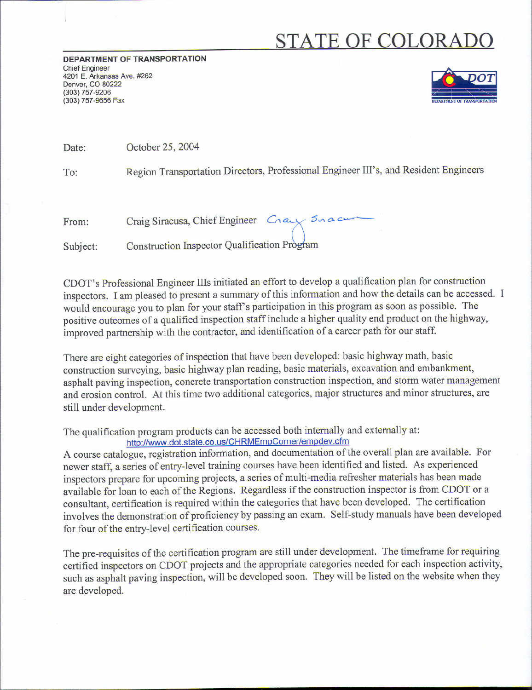## **STATE OF COLORADO**

**DEPARTMENT OF TRANSPORTATION** Chief Engineer 4201 E. Arkansas Ave. #262 Denver, CO 80222 (303) 757-9206 (303) 757-9656 Fax



Date: October 25, 2004

To: Region Transportation Directors, Professional Engineer Ill's, and Resident Engineers

| From: | Craig Siracusa, Chief Engineer Cray Sudan |  |
|-------|-------------------------------------------|--|
|       |                                           |  |

Subject: Construction Inspector Qualification Program

CDOT's Professional Engineer Ills initiated an effort to develop a qualification plan for construction inspectors. I am pleased to present a summary of this information and how the details can be accessed. I would encourage you to plan for your staff's participation in this program as soon as possible. The positive outcomes of a qualified inspection staff include a higher quality end product on the highway, improved partnership with the contractor, and identification of a career path for our staff.

There are eight categories of inspection that have been developed: basic highway math, basic construction surveying, basic highway plan reading, basic materials, excavation and embankment, asphalt paving inspection, concrete transportation construction inspection, and storm water management and erosion control. At this time two additional categories, major structures and minor structures, are still under development.

The qualification program products can be accessed both internally and externally at: http://www.dot.state.co.us/CHRMEmpCorner/empdev.cfm

A course catalogue, registration information, and documentation of the overall plan are available. For newer staff, a series of entry-level training courses have been identified and listed. As experienced inspectors prepare for upcoming projects, a series of multi-media refresher materials has been made available for loan to each of the Regions. Regardless if the construction inspector is from CDOT or a consultant, certification is required within the categories that have been developed. The certification involves the demonstration of proficiency by passing an exam. Self-study manuals have been developed for four of the entry-level certification courses.

The pre-requisites of the certification program are still under development. The timeframe for requiring certified inspectors on CDOT projects and the appropriate categories needed for each inspection activity, such as asphalt paving inspection, will be developed soon. They will be listed on the website when they are developed.